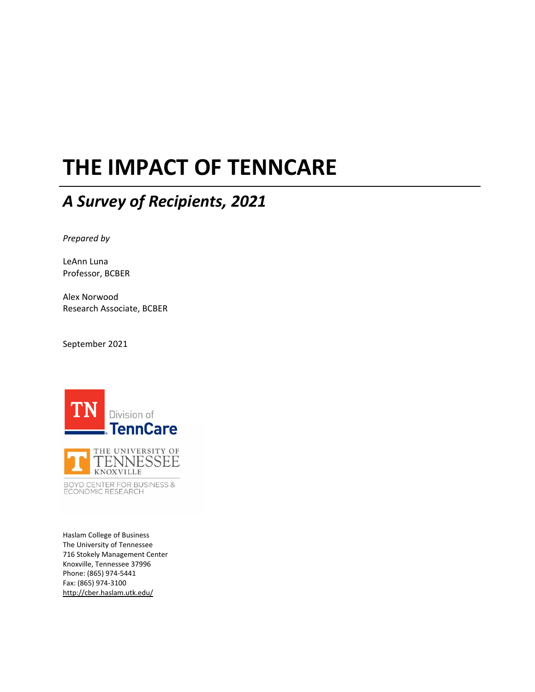# **THE IMPACT OF TENNCARE**

# *A Survey of Recipients, 2021*

*Prepared by*

LeAnn Luna Professor, BCBER

Alex Norwood Research Associate, BCBER

September 2021



BOYD CENTER FOR BUSINESS &<br>ECONOMIC RESEARCH

Haslam College of Business The University of Tennessee 716 Stokely Management Center Knoxville, Tennessee 37996 Phone: (865) 974‐5441 Fax: (865) 974‐3100 http://cber.haslam.utk.edu/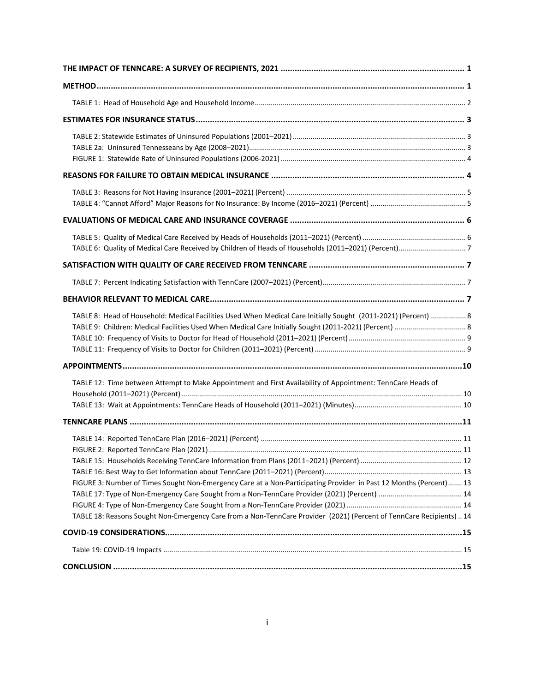| TABLE 8: Head of Household: Medical Facilities Used When Medical Care Initially Sought (2011-2021) (Percent)  8                                                                                                                            |  |
|--------------------------------------------------------------------------------------------------------------------------------------------------------------------------------------------------------------------------------------------|--|
|                                                                                                                                                                                                                                            |  |
| TABLE 12: Time between Attempt to Make Appointment and First Availability of Appointment: TennCare Heads of                                                                                                                                |  |
|                                                                                                                                                                                                                                            |  |
| FIGURE 3: Number of Times Sought Non-Emergency Care at a Non-Participating Provider in Past 12 Months (Percent) 13<br>TABLE 18: Reasons Sought Non-Emergency Care from a Non-TennCare Provider (2021) (Percent of TennCare Recipients)  14 |  |
|                                                                                                                                                                                                                                            |  |
|                                                                                                                                                                                                                                            |  |
|                                                                                                                                                                                                                                            |  |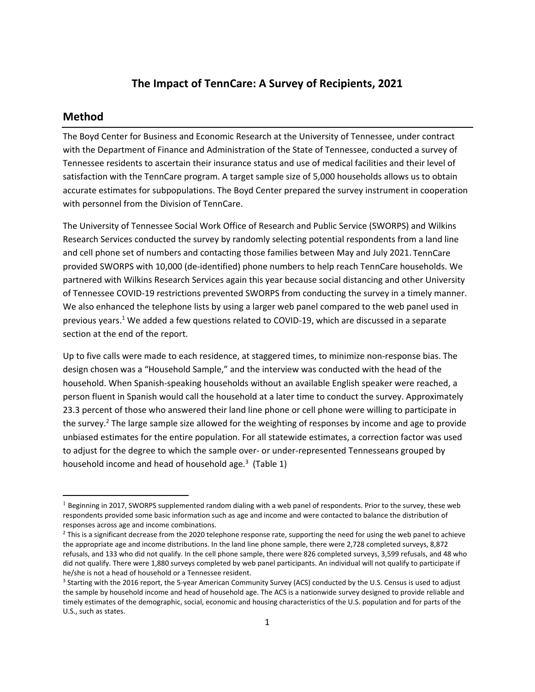## **The Impact of TennCare: A Survey of Recipients, 2021**

#### **Method**

The Boyd Center for Business and Economic Research at the University of Tennessee, under contract with the Department of Finance and Administration of the State of Tennessee, conducted a survey of Tennessee residents to ascertain their insurance status and use of medical facilities and their level of satisfaction with the TennCare program. A target sample size of 5,000 households allows us to obtain accurate estimates for subpopulations. The Boyd Center prepared the survey instrument in cooperation with personnel from the Division of TennCare.

The University of Tennessee Social Work Office of Research and Public Service (SWORPS) and Wilkins Research Services conducted the survey by randomly selecting potential respondents from a land line and cell phone set of numbers and contacting those families between May and July 2021. TennCare provided SWORPS with 10,000 (de‐identified) phone numbers to help reach TennCare households. We partnered with Wilkins Research Services again this year because social distancing and other University of Tennessee COVID‐19 restrictions prevented SWORPS from conducting the survey in a timely manner. We also enhanced the telephone lists by using a larger web panel compared to the web panel used in previous years.<sup>1</sup> We added a few questions related to COVID-19, which are discussed in a separate section at the end of the report.

Up to five calls were made to each residence, at staggered times, to minimize non‐response bias. The design chosen was a "Household Sample," and the interview was conducted with the head of the household. When Spanish‐speaking households without an available English speaker were reached, a person fluent in Spanish would call the household at a later time to conduct the survey. Approximately 23.3 percent of those who answered their land line phone or cell phone were willing to participate in the survey.<sup>2</sup> The large sample size allowed for the weighting of responses by income and age to provide unbiased estimates for the entire population. For all statewide estimates, a correction factor was used to adjust for the degree to which the sample over- or under-represented Tennesseans grouped by household income and head of household age.<sup>3</sup> (Table 1)

 $<sup>1</sup>$  Beginning in 2017, SWORPS supplemented random dialing with a web panel of respondents. Prior to the survey, these web</sup> respondents provided some basic information such as age and income and were contacted to balance the distribution of responses across age and income combinations.

 $2$  This is a significant decrease from the 2020 telephone response rate, supporting the need for using the web panel to achieve the appropriate age and income distributions. In the land line phone sample, there were 2,728 completed surveys, 8,872 refusals, and 133 who did not qualify. In the cell phone sample, there were 826 completed surveys, 3,599 refusals, and 48 who did not qualify. There were 1,880 surveys completed by web panel participants. An individual will not qualify to participate if he/she is not a head of household or a Tennessee resident.

<sup>&</sup>lt;sup>3</sup> Starting with the 2016 report, the 5-year American Community Survey (ACS) conducted by the U.S. Census is used to adjust the sample by household income and head of household age. The ACS is a nationwide survey designed to provide reliable and timely estimates of the demographic, social, economic and housing characteristics of the U.S. population and for parts of the U.S., such as states.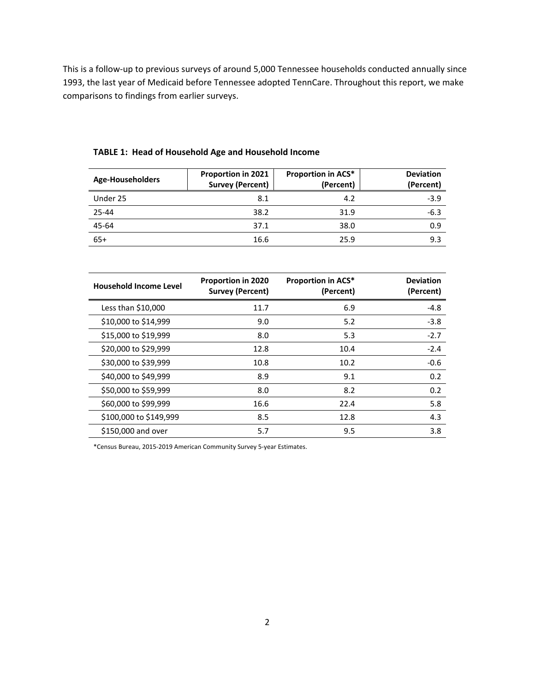This is a follow‐up to previous surveys of around 5,000 Tennessee households conducted annually since 1993, the last year of Medicaid before Tennessee adopted TennCare. Throughout this report, we make comparisons to findings from earlier surveys.

| Age-Householders | <b>Proportion in 2021</b><br><b>Survey (Percent)</b> | <b>Proportion in ACS*</b><br>(Percent) | <b>Deviation</b><br>(Percent) |
|------------------|------------------------------------------------------|----------------------------------------|-------------------------------|
| Under 25         | 8.1                                                  | 4.2                                    | $-3.9$                        |
| 25-44            | 38.2                                                 | 31.9                                   | $-6.3$                        |
| 45-64            | 37.1                                                 | 38.0                                   | 0.9                           |
| $65+$            | 16.6                                                 | 25.9                                   | 9.3                           |

#### **TABLE 1: Head of Household Age and Household Income**

| <b>Household Income Level</b> | <b>Proportion in 2020</b><br>Survey (Percent) | <b>Proportion in ACS*</b><br>(Percent) | <b>Deviation</b><br>(Percent) |
|-------------------------------|-----------------------------------------------|----------------------------------------|-------------------------------|
| Less than \$10,000            | 11.7                                          | 6.9                                    | $-4.8$                        |
| \$10,000 to \$14,999          | 9.0                                           | 5.2                                    | $-3.8$                        |
| \$15,000 to \$19,999          | 8.0                                           | 5.3                                    | $-2.7$                        |
| \$20,000 to \$29,999          | 12.8                                          | 10.4                                   | $-2.4$                        |
| \$30,000 to \$39,999          | 10.8                                          | 10.2                                   | $-0.6$                        |
| \$40,000 to \$49,999          | 8.9                                           | 9.1                                    | 0.2                           |
| \$50,000 to \$59,999          | 8.0                                           | 8.2                                    | 0.2                           |
| \$60,000 to \$99,999          | 16.6                                          | 22.4                                   | 5.8                           |
| \$100,000 to \$149,999        | 8.5                                           | 12.8                                   | 4.3                           |
| \$150,000 and over            | 5.7                                           | 9.5                                    | 3.8                           |

\*Census Bureau, 2015‐2019 American Community Survey 5‐year Estimates.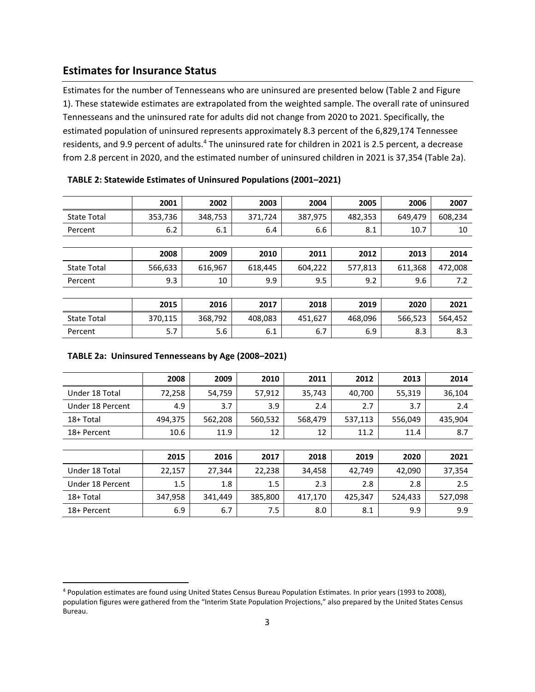# **Estimates for Insurance Status**

Estimates for the number of Tennesseans who are uninsured are presented below (Table 2 and Figure 1). These statewide estimates are extrapolated from the weighted sample. The overall rate of uninsured Tennesseans and the uninsured rate for adults did not change from 2020 to 2021. Specifically, the estimated population of uninsured represents approximately 8.3 percent of the 6,829,174 Tennessee residents, and 9.9 percent of adults.<sup>4</sup> The uninsured rate for children in 2021 is 2.5 percent, a decrease from 2.8 percent in 2020, and the estimated number of uninsured children in 2021 is 37,354 (Table 2a).

|                    | 2001    | 2002    | 2003    | 2004    | 2005    | 2006    | 2007    |
|--------------------|---------|---------|---------|---------|---------|---------|---------|
| <b>State Total</b> | 353,736 | 348,753 | 371,724 | 387,975 | 482,353 | 649,479 | 608,234 |
| Percent            | 6.2     | 6.1     | 6.4     | 6.6     | 8.1     | 10.7    | 10      |
|                    |         |         |         |         |         |         |         |
|                    | 2008    | 2009    | 2010    | 2011    | 2012    | 2013    | 2014    |
| <b>State Total</b> | 566,633 | 616,967 | 618,445 | 604,222 | 577,813 | 611,368 | 472,008 |
| Percent            | 9.3     | 10      | 9.9     | 9.5     | 9.2     | 9.6     | 7.2     |
|                    |         |         |         |         |         |         |         |
|                    | 2015    | 2016    | 2017    | 2018    | 2019    | 2020    | 2021    |
| <b>State Total</b> | 370,115 | 368,792 | 408,083 | 451,627 | 468,096 | 566,523 | 564,452 |
| Percent            | 5.7     | 5.6     | 6.1     | 6.7     | 6.9     | 8.3     | 8.3     |

| TABLE 2: Statewide Estimates of Uninsured Populations (2001-2021) |  |  |  |  |
|-------------------------------------------------------------------|--|--|--|--|
|-------------------------------------------------------------------|--|--|--|--|

#### **TABLE 2a: Uninsured Tennesseans by Age (2008–2021)**

|                  | 2008    | 2009    | 2010    | 2011    | 2012    | 2013    | 2014    |
|------------------|---------|---------|---------|---------|---------|---------|---------|
| Under 18 Total   | 72,258  | 54,759  | 57,912  | 35,743  | 40,700  | 55,319  | 36,104  |
| Under 18 Percent | 4.9     | 3.7     | 3.9     | 2.4     | 2.7     | 3.7     | 2.4     |
| 18+ Total        | 494,375 | 562,208 | 560,532 | 568,479 | 537,113 | 556,049 | 435,904 |
| 18+ Percent      | 10.6    | 11.9    | 12      | 12      | 11.2    | 11.4    | 8.7     |
|                  |         |         |         |         |         |         |         |
|                  | 2015    | 2016    | 2017    | 2018    | 2019    | 2020    | 2021    |
| Under 18 Total   | 22,157  | 27,344  | 22,238  | 34,458  | 42,749  | 42,090  | 37,354  |
| Under 18 Percent | 1.5     | 1.8     | 1.5     | 2.3     | 2.8     | 2.8     | 2.5     |
| 18+ Total        | 347,958 | 341,449 | 385,800 | 417,170 | 425,347 | 524,433 | 527,098 |
| 18+ Percent      | 6.9     | 6.7     | 7.5     | 8.0     | 8.1     | 9.9     | 9.9     |

<sup>4</sup> Population estimates are found using United States Census Bureau Population Estimates. In prior years (1993 to 2008), population figures were gathered from the "Interim State Population Projections," also prepared by the United States Census Bureau.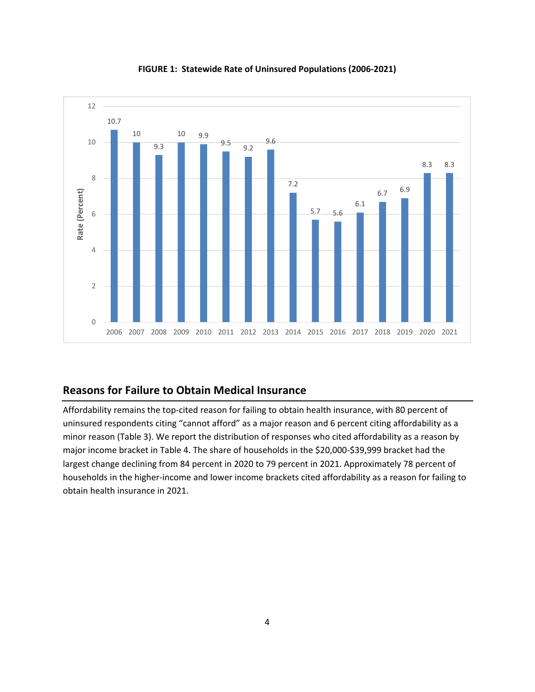

**FIGURE 1: Statewide Rate of Uninsured Populations (2006‐2021)**

## **Reasons for Failure to Obtain Medical Insurance**

Affordability remains the top‐cited reason for failing to obtain health insurance, with 80 percent of uninsured respondents citing "cannot afford" as a major reason and 6 percent citing affordability as a minor reason (Table 3). We report the distribution of responses who cited affordability as a reason by major income bracket in Table 4. The share of households in the \$20,000‐\$39,999 bracket had the largest change declining from 84 percent in 2020 to 79 percent in 2021. Approximately 78 percent of households in the higher‐income and lower income brackets cited affordability as a reason for failing to obtain health insurance in 2021.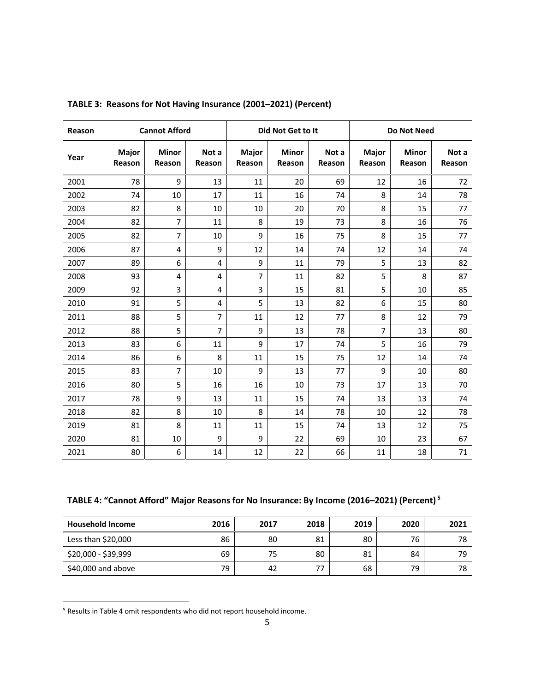| Reason |                 | <b>Cannot Afford</b>   |                 |                 | Did Not Get to It      |                 |                 | Do Not Need            |                 |  |  |
|--------|-----------------|------------------------|-----------------|-----------------|------------------------|-----------------|-----------------|------------------------|-----------------|--|--|
| Year   | Major<br>Reason | <b>Minor</b><br>Reason | Not a<br>Reason | Major<br>Reason | <b>Minor</b><br>Reason | Not a<br>Reason | Major<br>Reason | <b>Minor</b><br>Reason | Not a<br>Reason |  |  |
| 2001   | 78              | 9                      | 13              | 11              | 20                     | 69              | 12              | 16                     | 72              |  |  |
| 2002   | 74              | 10                     | 17              | 11              | 16                     | 74              | 8               | 14                     | 78              |  |  |
| 2003   | 82              | 8                      | 10              | 10              | 20                     | 70              | 8               | 15                     | 77              |  |  |
| 2004   | 82              | 7                      | 11              | 8               | 19                     | 73              | 8               | 16                     | 76              |  |  |
| 2005   | 82              | 7                      | 10              | 9               | 16                     | 75              | 8               | 15                     | 77              |  |  |
| 2006   | 87              | 4                      | 9               | 12              | 14                     | 74              | 12              | 14                     | 74              |  |  |
| 2007   | 89              | 6                      | $\overline{4}$  | 9               | 11                     | 79              | 5               | 13                     | 82              |  |  |
| 2008   | 93              | 4                      | 4               | 7               | 11                     | 82              | 5               | 8                      | 87              |  |  |
| 2009   | 92              | 3                      | $\overline{4}$  | 3               | 15                     | 81              | 5               | 10                     | 85              |  |  |
| 2010   | 91              | 5                      | $\overline{4}$  | 5               | 13                     | 82              | 6               | 15                     | 80              |  |  |
| 2011   | 88              | 5                      | $\overline{7}$  | 11              | 12                     | 77              | 8               | 12                     | 79              |  |  |
| 2012   | 88              | 5                      | $\overline{7}$  | 9               | 13                     | 78              | 7               | 13                     | 80              |  |  |
| 2013   | 83              | 6                      | 11              | 9               | 17                     | 74              | 5               | 16                     | 79              |  |  |
| 2014   | 86              | 6                      | 8               | 11              | 15                     | 75              | 12              | 14                     | 74              |  |  |
| 2015   | 83              | 7                      | 10              | 9               | 13                     | 77              | 9               | 10                     | 80              |  |  |
| 2016   | 80              | 5                      | 16              | 16              | 10                     | 73              | 17              | 13                     | 70              |  |  |
| 2017   | 78              | 9                      | 13              | 11              | 15                     | 74              | 13              | 13                     | 74              |  |  |
| 2018   | 82              | 8                      | 10              | 8               | 14                     | 78              | 10              | 12                     | 78              |  |  |
| 2019   | 81              | 8                      | 11              | 11              | 15                     | 74              | 13              | 12                     | 75              |  |  |
| 2020   | 81              | 10                     | 9               | 9               | 22                     | 69              | 10              | 23                     | 67              |  |  |
| 2021   | 80              | 6                      | 14              | 12              | 22                     | 66              | 11              | 18                     | 71              |  |  |

**TABLE 3: Reasons for Not Having Insurance (2001–2021) (Percent)**

**TABLE 4: "Cannot Afford" Major Reasons for No Insurance: By Income (2016–2021) (Percent) <sup>5</sup>**

| <b>Household Income</b> | 2016 | 2017 | 2018 | 2019 | 2020 | 2021 |
|-------------------------|------|------|------|------|------|------|
| Less than $$20,000$     | 86   | 80   | 81   | 80   | 76   | 78   |
| \$20,000 - \$39,999     | 69   | 75   | 80   | 81   | 84   | 79   |
| $$40,000$ and above     | 79   | 42   | 77   | 68   | 79   | 78   |

<sup>&</sup>lt;sup>5</sup> Results in Table 4 omit respondents who did not report household income.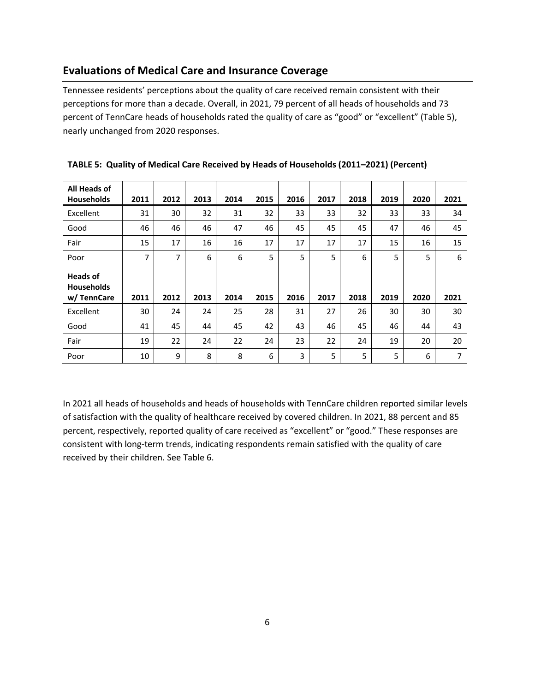# **Evaluations of Medical Care and Insurance Coverage**

Tennessee residents' perceptions about the quality of care received remain consistent with their perceptions for more than a decade. Overall, in 2021, 79 percent of all heads of households and 73 percent of TennCare heads of households rated the quality of care as "good" or "excellent" (Table 5), nearly unchanged from 2020 responses.

| All Heads of<br><b>Households</b>                  | 2011 | 2012 | 2013 | 2014 | 2015 | 2016 | 2017 | 2018 | 2019 | 2020 | 2021 |
|----------------------------------------------------|------|------|------|------|------|------|------|------|------|------|------|
| Excellent                                          | 31   | 30   | 32   | 31   | 32   | 33   | 33   | 32   | 33   | 33   | 34   |
| Good                                               | 46   | 46   | 46   | 47   | 46   | 45   | 45   | 45   | 47   | 46   | 45   |
| Fair                                               | 15   | 17   | 16   | 16   | 17   | 17   | 17   | 17   | 15   | 16   | 15   |
| Poor                                               | 7    | 7    | 6    | 6    | 5    | 5    | 5    | 6    | 5    | 5    | 6    |
| <b>Heads of</b><br><b>Households</b><br>w/TennCare | 2011 | 2012 | 2013 | 2014 | 2015 | 2016 | 2017 | 2018 | 2019 | 2020 | 2021 |
| Excellent                                          | 30   | 24   | 24   | 25   | 28   | 31   | 27   | 26   | 30   | 30   | 30   |
| Good                                               | 41   | 45   | 44   | 45   | 42   | 43   | 46   | 45   | 46   | 44   | 43   |
| Fair                                               | 19   | 22   | 24   | 22   | 24   | 23   | 22   | 24   | 19   | 20   | 20   |
| Poor                                               | 10   | 9    | 8    | 8    | 6    | 3    | 5    | 5    | 5    | 6    | 7    |

|  |  |  |  | TABLE 5: Quality of Medical Care Received by Heads of Households (2011-2021) (Percent) |
|--|--|--|--|----------------------------------------------------------------------------------------|
|--|--|--|--|----------------------------------------------------------------------------------------|

In 2021 all heads of households and heads of households with TennCare children reported similar levels of satisfaction with the quality of healthcare received by covered children. In 2021, 88 percent and 85 percent, respectively, reported quality of care received as "excellent" or "good." These responses are consistent with long‐term trends, indicating respondents remain satisfied with the quality of care received by their children. See Table 6.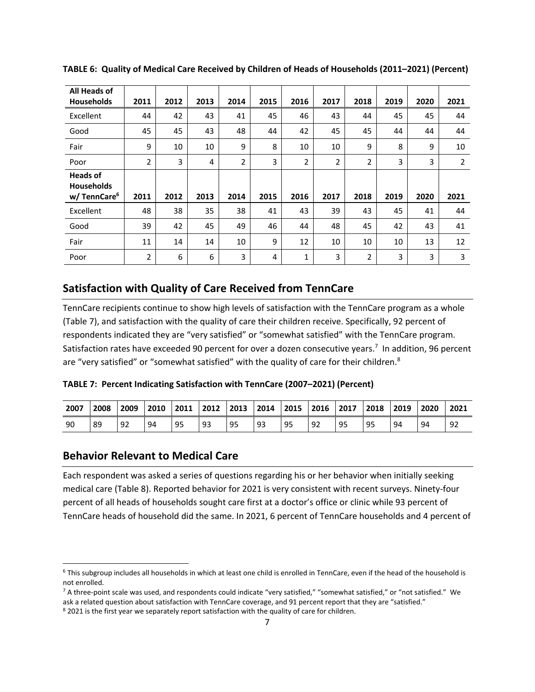| All Heads of<br><b>Households</b>                               | 2011           | 2012 | 2013 | 2014           | 2015 | 2016           | 2017           | 2018           | 2019 | 2020 | 2021           |
|-----------------------------------------------------------------|----------------|------|------|----------------|------|----------------|----------------|----------------|------|------|----------------|
| Excellent                                                       | 44             | 42   | 43   | 41             | 45   | 46             | 43             | 44             | 45   | 45   | 44             |
| Good                                                            | 45             | 45   | 43   | 48             | 44   | 42             | 45             | 45             | 44   | 44   | 44             |
| Fair                                                            | 9              | 10   | 10   | 9              | 8    | 10             | 10             | 9              | 8    | 9    | 10             |
| Poor                                                            | $\overline{2}$ | 3    | 4    | $\overline{2}$ | 3    | $\overline{2}$ | $\overline{2}$ | $\overline{2}$ | 3    | 3    | $\overline{2}$ |
| <b>Heads of</b><br><b>Households</b><br>w/TennCare <sup>6</sup> | 2011           | 2012 | 2013 | 2014           | 2015 | 2016           | 2017           | 2018           | 2019 | 2020 | 2021           |
| Excellent                                                       | 48             | 38   | 35   | 38             | 41   | 43             | 39             | 43             | 45   | 41   | 44             |
| Good                                                            | 39             | 42   | 45   | 49             | 46   | 44             | 48             | 45             | 42   | 43   | 41             |
| Fair                                                            | 11             | 14   | 14   | 10             | 9    | 12             | 10             | 10             | 10   | 13   | 12             |
| Poor                                                            | $\overline{2}$ | 6    | 6    | 3              | 4    | $\mathbf 1$    | 3              | 2              | 3    | 3    | 3              |

**TABLE 6: Quality of Medical Care Received by Children of Heads of Households (2011–2021) (Percent)**

#### **Satisfaction with Quality of Care Received from TennCare**

TennCare recipients continue to show high levels of satisfaction with the TennCare program as a whole (Table 7), and satisfaction with the quality of care their children receive. Specifically, 92 percent of respondents indicated they are "very satisfied" or "somewhat satisfied" with the TennCare program. Satisfaction rates have exceeded 90 percent for over a dozen consecutive years.<sup>7</sup> In addition, 96 percent are "very satisfied" or "somewhat satisfied" with the quality of care for their children.<sup>8</sup>

| TABLE 7: Percent Indicating Satisfaction with TennCare (2007-2021) (Percent) |  |  |  |
|------------------------------------------------------------------------------|--|--|--|
|------------------------------------------------------------------------------|--|--|--|

| 2007 | 2008 | 2009 | 2010 | 2011 | 2012 | 2013 | 2014 | 2015 | 2016 | $\overline{2017}$ | 2018 | 2019 | 2020 | 2021 |
|------|------|------|------|------|------|------|------|------|------|-------------------|------|------|------|------|
| 90   | 89   | 92   | 94   | 95   | 93   | 95   | 93   | 95   | 92   | 95                | 95   | 94   | 94   | -92  |

#### **Behavior Relevant to Medical Care**

Each respondent was asked a series of questions regarding his or her behavior when initially seeking medical care (Table 8). Reported behavior for 2021 is very consistent with recent surveys. Ninety‐four percent of all heads of households sought care first at a doctor's office or clinic while 93 percent of TennCare heads of household did the same. In 2021, 6 percent of TennCare households and 4 percent of

 $6$  This subgroup includes all households in which at least one child is enrolled in TennCare, even if the head of the household is not enrolled.

<sup>&</sup>lt;sup>7</sup> A three-point scale was used, and respondents could indicate "very satisfied," "somewhat satisfied," or "not satisfied." We ask a related question about satisfaction with TennCare coverage, and 91 percent report that they are "satisfied."

<sup>&</sup>lt;sup>8</sup> 2021 is the first year we separately report satisfaction with the quality of care for children.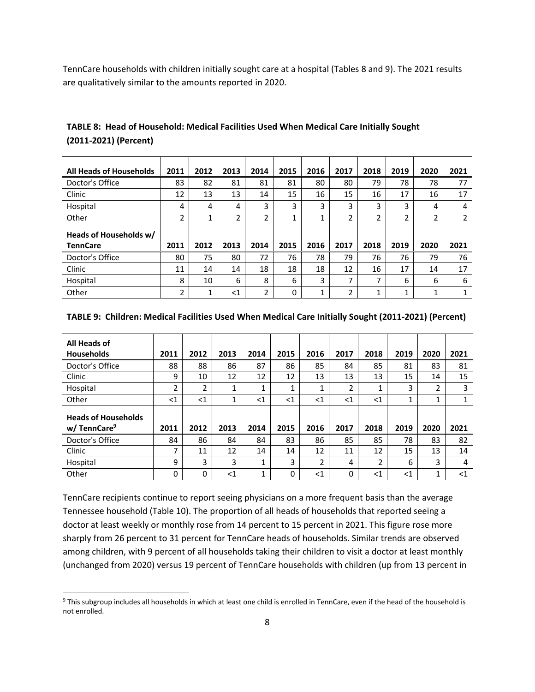TennCare households with children initially sought care at a hospital (Tables 8 and 9). The 2021 results are qualitatively similar to the amounts reported in 2020.

| <b>All Heads of Households</b>            | 2011 | 2012 | 2013 | 2014 | 2015 | 2016 | 2017 | 2018 | 2019 | 2020 | 2021 |
|-------------------------------------------|------|------|------|------|------|------|------|------|------|------|------|
| Doctor's Office                           | 83   | 82   | 81   | 81   | 81   | 80   | 80   | 79   | 78   | 78   | 77   |
|                                           |      |      |      |      |      |      |      |      |      |      |      |
| Clinic                                    | 12   | 13   | 13   | 14   | 15   | 16   | 15   | 16   | 17   | 16   | 17   |
| Hospital                                  | 4    | 4    | 4    | 3    | 3    | 3    | 3    | 3    | 3    | 4    | 4    |
| Other                                     | C.   |      | 2    | 2    | 1    |      | 2    | 2    | 2    | 2    | 2    |
| Heads of Households w/<br><b>TennCare</b> | 2011 | 2012 | 2013 | 2014 | 2015 | 2016 | 2017 | 2018 | 2019 | 2020 | 2021 |
| Doctor's Office                           | 80   | 75   | 80   | 72   | 76   | 78   | 79   | 76   | 76   | 79   | 76   |
| Clinic                                    |      |      |      |      |      |      |      |      |      |      |      |
|                                           | 11   | 14   | 14   | 18   | 18   | 18   | 12   | 16   | 17   | 14   | 17   |
| Hospital                                  | 8    | 10   | 6    | 8    | 6    | 3    | 7    | 7    | 6    | 6    | 6    |

**TABLE 8: Head of Household: Medical Facilities Used When Medical Care Initially Sought (2011‐2021) (Percent)**

| TABLE 9: Children: Medical Facilities Used When Medical Care Initially Sought (2011-2021) (Percent) |  |  |  |
|-----------------------------------------------------------------------------------------------------|--|--|--|
|-----------------------------------------------------------------------------------------------------|--|--|--|

| All Heads of<br><b>Households</b>                     | 2011  | 2012     | 2013  | 2014  | 2015  | 2016          | 2017  | 2018           | 2019  | 2020 | 2021   |
|-------------------------------------------------------|-------|----------|-------|-------|-------|---------------|-------|----------------|-------|------|--------|
| Doctor's Office                                       | 88    | 88       | 86    | 87    | 86    | 85            | 84    | 85             | 81    | 83   | 81     |
| Clinic                                                | 9     | 10       | 12    | 12    | 12    | 13            | 13    | 13             | 15    | 14   | 15     |
| Hospital                                              | 2     | 2        | ◢     | 1     | 1     | 1             | 2     |                | 3     | 2    | 3      |
| Other                                                 | $<$ 1 | $<$ 1    | 4     | $<$ 1 | $<$ 1 | $<$ 1         | $<$ 1 | $<$ 1          |       | 1    |        |
| <b>Heads of Households</b><br>w/TennCare <sup>9</sup> | 2011  | 2012     | 2013  | 2014  | 2015  | 2016          | 2017  | 2018           | 2019  | 2020 | 2021   |
| Doctor's Office                                       | 84    | 86       | 84    | 84    | 83    | 86            | 85    | 85             | 78    | 83   | 82     |
| Clinic                                                | 7     | 11       | 12    | 14    | 14    | 12            | 11    | 12             | 15    | 13   | 14     |
| Hospital                                              | 9     | 3        | 3     | 1     | 3     | $\mathfrak z$ | 4     | $\overline{2}$ | 6     | 3    | 4      |
| Other                                                 | 0     | $\Omega$ | $<$ 1 | 1     | 0     | <1            | 0     | $<$ 1          | $<$ 1 | 1    | ${<}1$ |

TennCare recipients continue to report seeing physicians on a more frequent basis than the average Tennessee household (Table 10). The proportion of all heads of households that reported seeing a doctor at least weekly or monthly rose from 14 percent to 15 percent in 2021. This figure rose more sharply from 26 percent to 31 percent for TennCare heads of households. Similar trends are observed among children, with 9 percent of all households taking their children to visit a doctor at least monthly (unchanged from 2020) versus 19 percent of TennCare households with children (up from 13 percent in

<sup>&</sup>lt;sup>9</sup> This subgroup includes all households in which at least one child is enrolled in TennCare, even if the head of the household is not enrolled.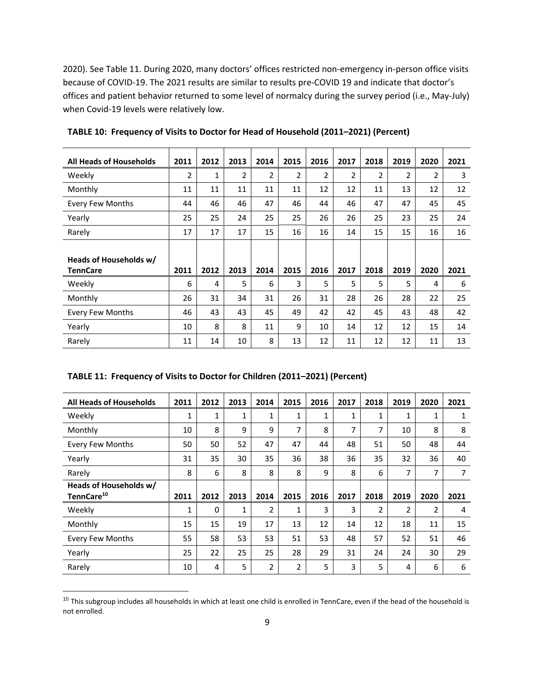2020). See Table 11. During 2020, many doctors' offices restricted non-emergency in-person office visits because of COVID‐19. The 2021 results are similar to results pre‐COVID 19 and indicate that doctor's offices and patient behavior returned to some level of normalcy during the survey period (i.e., May‐July) when Covid-19 levels were relatively low.

| <b>All Heads of Households</b>            | 2011 | 2012 | 2013 | 2014 | 2015 | 2016 | 2017 | 2018 | 2019           | 2020 | 2021 |
|-------------------------------------------|------|------|------|------|------|------|------|------|----------------|------|------|
| Weekly                                    | 2    | 1    | 2    | 2    | 2    | 2    | 2    | 2    | $\overline{2}$ | 2    | 3    |
| Monthly                                   | 11   | 11   | 11   | 11   | 11   | 12   | 12   | 11   | 13             | 12   | 12   |
| <b>Every Few Months</b>                   | 44   | 46   | 46   | 47   | 46   | 44   | 46   | 47   | 47             | 45   | 45   |
| Yearly                                    | 25   | 25   | 24   | 25   | 25   | 26   | 26   | 25   | 23             | 25   | 24   |
| Rarely                                    | 17   | 17   | 17   | 15   | 16   | 16   | 14   | 15   | 15             | 16   | 16   |
| Heads of Households w/<br><b>TennCare</b> | 2011 | 2012 | 2013 | 2014 | 2015 | 2016 | 2017 | 2018 | 2019           | 2020 | 2021 |
| Weekly                                    | 6    | 4    | 5    | 6    | 3    | 5    | 5    | 5    | 5              | 4    | 6    |
| Monthly                                   | 26   | 31   | 34   | 31   | 26   | 31   | 28   | 26   | 28             | 22   | 25   |
| <b>Every Few Months</b>                   | 46   | 43   | 43   | 45   | 49   | 42   | 42   | 45   | 43             | 48   | 42   |
| Yearly                                    | 10   | 8    | 8    | 11   | 9    | 10   | 14   | 12   | 12             | 15   | 14   |
| Rarely                                    | 11   | 14   | 10   | 8    | 13   | 12   | 11   | 12   | 12             | 11   | 13   |

**TABLE 10: Frequency of Visits to Doctor for Head of Household (2011–2021) (Percent)**

|  | TABLE 11: Frequency of Visits to Doctor for Children (2011-2021) (Percent) |  |  |
|--|----------------------------------------------------------------------------|--|--|
|--|----------------------------------------------------------------------------|--|--|

| <b>All Heads of Households</b>                   | 2011 | 2012     | 2013 | 2014           | 2015 | 2016 | 2017 | 2018 | 2019           | 2020           | 2021 |
|--------------------------------------------------|------|----------|------|----------------|------|------|------|------|----------------|----------------|------|
| Weekly                                           | 1    | 1        | 1    | 1              | 1    | 1    | 1    | 1    |                | 1              | 1    |
| Monthly                                          | 10   | 8        | 9    | 9              | 7    | 8    | 7    | 7    | 10             | 8              | 8    |
| <b>Every Few Months</b>                          | 50   | 50       | 52   | 47             | 47   | 44   | 48   | 51   | 50             | 48             | 44   |
| Yearly                                           | 31   | 35       | 30   | 35             | 36   | 38   | 36   | 35   | 32             | 36             | 40   |
| Rarely                                           | 8    | 6        | 8    | 8              | 8    | 9    | 8    | 6    | 7              | 7              | 7    |
| Heads of Households w/<br>TennCare <sup>10</sup> | 2011 | 2012     | 2013 | 2014           | 2015 | 2016 | 2017 | 2018 | 2019           | 2020           | 2021 |
| Weekly                                           | 1    | $\Omega$ | 1    | 2              | 1    | 3    | 3    | 2    | $\overline{2}$ | $\overline{2}$ | 4    |
| Monthly                                          | 15   | 15       | 19   | 17             | 13   | 12   | 14   | 12   | 18             | 11             | 15   |
| <b>Every Few Months</b>                          | 55   | 58       | 53   | 53             | 51   | 53   | 48   | 57   | 52             | 51             | 46   |
| Yearly                                           | 25   | 22       | 25   | 25             | 28   | 29   | 31   | 24   | 24             | 30             | 29   |
| Rarely                                           | 10   | 4        | 5    | $\overline{2}$ | 2    | 5    | 3    | 5    | 4              | 6              | 6    |

<sup>&</sup>lt;sup>10</sup> This subgroup includes all households in which at least one child is enrolled in TennCare, even if the head of the household is not enrolled.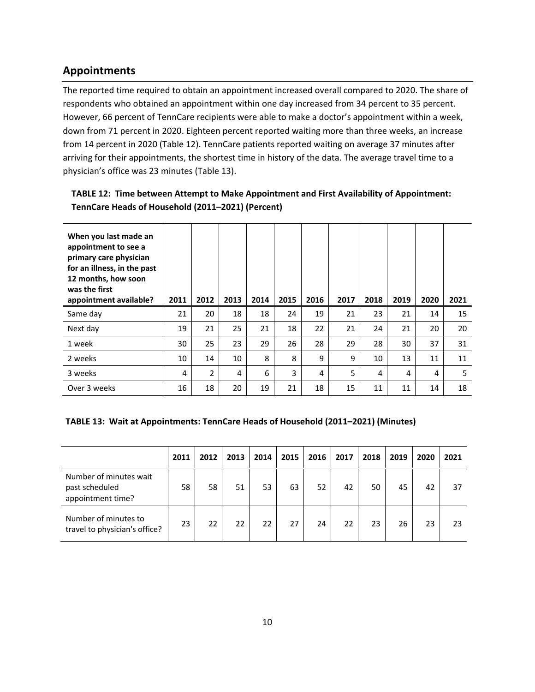# **Appointments**

The reported time required to obtain an appointment increased overall compared to 2020. The share of respondents who obtained an appointment within one day increased from 34 percent to 35 percent. However, 66 percent of TennCare recipients were able to make a doctor's appointment within a week, down from 71 percent in 2020. Eighteen percent reported waiting more than three weeks, an increase from 14 percent in 2020 (Table 12). TennCare patients reported waiting on average 37 minutes after arriving for their appointments, the shortest time in history of the data. The average travel time to a physician's office was 23 minutes (Table 13).

#### **TABLE 12: Time between Attempt to Make Appointment and First Availability of Appointment: TennCare Heads of Household (2011–2021) (Percent)**

| When you last made an<br>appointment to see a<br>primary care physician<br>for an illness, in the past<br>12 months, how soon<br>was the first<br>appointment available? | 2011 | 2012           | 2013 | 2014 | 2015 | 2016 | 2017 | 2018 | 2019 | 2020 | 2021 |
|--------------------------------------------------------------------------------------------------------------------------------------------------------------------------|------|----------------|------|------|------|------|------|------|------|------|------|
| Same day                                                                                                                                                                 | 21   | 20             | 18   | 18   | 24   | 19   | 21   | 23   | 21   | 14   | 15   |
| Next day                                                                                                                                                                 | 19   | 21             | 25   | 21   | 18   | 22   | 21   | 24   | 21   | 20   | 20   |
| 1 week                                                                                                                                                                   | 30   | 25             | 23   | 29   | 26   | 28   | 29   | 28   | 30   | 37   | 31   |
| 2 weeks                                                                                                                                                                  | 10   | 14             | 10   | 8    | 8    | 9    | 9    | 10   | 13   | 11   | 11   |
| 3 weeks                                                                                                                                                                  | 4    | $\overline{2}$ | 4    | 6    | 3    | 4    | 5    | 4    | 4    | 4    | 5    |
| Over 3 weeks                                                                                                                                                             | 16   | 18             | 20   | 19   | 21   | 18   | 15   | 11   | 11   | 14   | 18   |

#### **TABLE 13: Wait at Appointments: TennCare Heads of Household (2011–2021) (Minutes)**

|                                                               | 2011 | 2012 | 2013 | 2014 | 2015 | 2016 | 2017 | 2018 | 2019 | 2020 | 2021 |
|---------------------------------------------------------------|------|------|------|------|------|------|------|------|------|------|------|
| Number of minutes wait<br>past scheduled<br>appointment time? | 58   | 58   | 51   | 53   | 63   | 52   | 42   | 50   | 45   | 42   | 37   |
| Number of minutes to<br>travel to physician's office?         | 23   | 22   | 22   | 22   | 27   | 24   | 22   | 23   | 26   | 23   | 23   |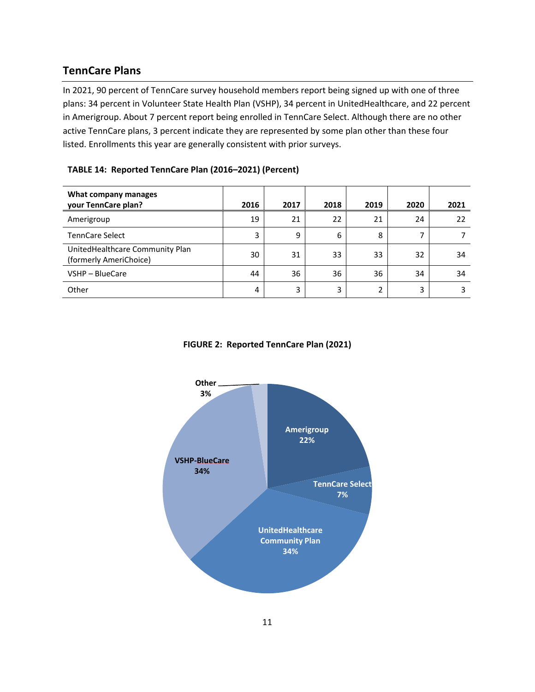# **TennCare Plans**

In 2021, 90 percent of TennCare survey household members report being signed up with one of three plans: 34 percent in Volunteer State Health Plan (VSHP), 34 percent in UnitedHealthcare, and 22 percent in Amerigroup. About 7 percent report being enrolled in TennCare Select. Although there are no other active TennCare plans, 3 percent indicate they are represented by some plan other than these four listed. Enrollments this year are generally consistent with prior surveys.

#### **TABLE 14: Reported TennCare Plan (2016–2021) (Percent)**

| What company manages<br>your TennCare plan?               | 2016 | 2017 | 2018 | 2019 | 2020 | 2021 |
|-----------------------------------------------------------|------|------|------|------|------|------|
| Amerigroup                                                | 19   | 21   | 22   | 21   | 24   | 22   |
| <b>TennCare Select</b>                                    | 3    | 9    | 6    | 8    | 7    |      |
| UnitedHealthcare Community Plan<br>(formerly AmeriChoice) | 30   | 31   | 33   | 33   | 32   | 34   |
| VSHP - BlueCare                                           | 44   | 36   | 36   | 36   | 34   | 34   |
| Other                                                     | 4    | 3    | 3    | 2    | 3    | 3    |

#### **FIGURE 2: Reported TennCare Plan (2021)**

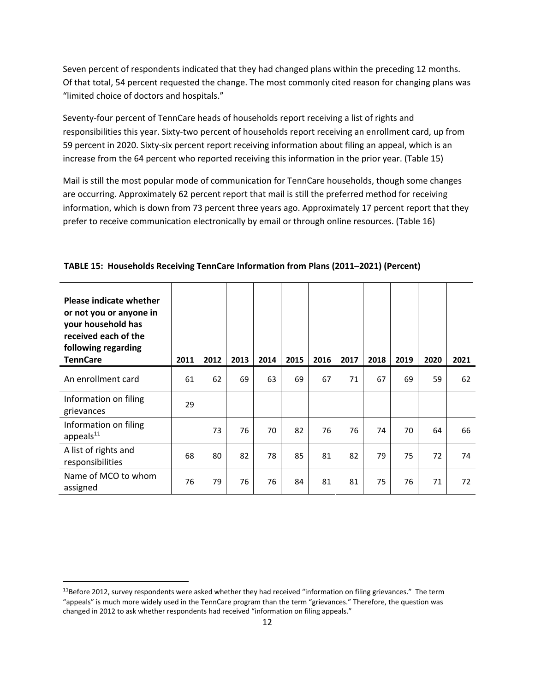Seven percent of respondents indicated that they had changed plans within the preceding 12 months. Of that total, 54 percent requested the change. The most commonly cited reason for changing plans was "limited choice of doctors and hospitals."

Seventy-four percent of TennCare heads of households report receiving a list of rights and responsibilities this year. Sixty-two percent of households report receiving an enrollment card, up from 59 percent in 2020. Sixty‐six percent report receiving information about filing an appeal, which is an increase from the 64 percent who reported receiving this information in the prior year. (Table 15)

Mail is still the most popular mode of communication for TennCare households, though some changes are occurring. Approximately 62 percent report that mail is still the preferred method for receiving information, which is down from 73 percent three years ago. Approximately 17 percent report that they prefer to receive communication electronically by email or through online resources. (Table 16)

| <b>Please indicate whether</b><br>or not you or anyone in<br>your household has<br>received each of the<br>following regarding<br><b>TennCare</b> | 2011 | 2012 | 2013 | 2014 | 2015 | 2016 | 2017 | 2018 | 2019 | 2020 | 2021 |
|---------------------------------------------------------------------------------------------------------------------------------------------------|------|------|------|------|------|------|------|------|------|------|------|
| An enrollment card                                                                                                                                | 61   | 62   | 69   | 63   | 69   | 67   | 71   | 67   | 69   | 59   | 62   |
| Information on filing<br>grievances                                                                                                               | 29   |      |      |      |      |      |      |      |      |      |      |
| Information on filing<br>appeals <sup>11</sup>                                                                                                    |      | 73   | 76   | 70   | 82   | 76   | 76   | 74   | 70   | 64   | 66   |
| A list of rights and<br>responsibilities                                                                                                          | 68   | 80   | 82   | 78   | 85   | 81   | 82   | 79   | 75   | 72   | 74   |
| Name of MCO to whom<br>assigned                                                                                                                   | 76   | 79   | 76   | 76   | 84   | 81   | 81   | 75   | 76   | 71   | 72   |

**TABLE 15: Households Receiving TennCare Information from Plans (2011–2021) (Percent)**

 $11$ Before 2012, survey respondents were asked whether they had received "information on filing grievances." The term "appeals" is much more widely used in the TennCare program than the term "grievances." Therefore, the question was changed in 2012 to ask whether respondents had received "information on filing appeals."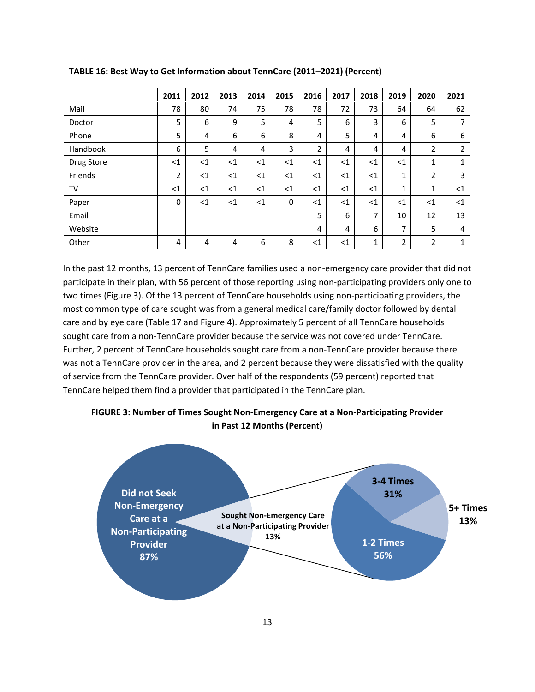|            | 2011  | 2012  | 2013  | 2014  | 2015  | 2016  | 2017  | 2018  | 2019         | 2020           | 2021  |
|------------|-------|-------|-------|-------|-------|-------|-------|-------|--------------|----------------|-------|
| Mail       | 78    | 80    | 74    | 75    | 78    | 78    | 72    | 73    | 64           | 64             | 62    |
| Doctor     | 5     | 6     | 9     | 5     | 4     | 5     | 6     | 3     | 6            | 5              | 7     |
| Phone      | 5     | 4     | 6     | 6     | 8     | 4     | 5     | 4     | 4            | 6              | 6     |
| Handbook   | 6     | 5     | 4     | 4     | 3     | 2     | 4     | 4     | 4            | $\overline{2}$ | 2     |
| Drug Store | $<$ 1 | $<$ 1 | $<$ 1 | $<$ 1 | $<$ 1 | $<$ 1 | $<$ 1 | $<$ 1 | $<$ 1        | $\mathbf{1}$   | 1     |
| Friends    | 2     | $<$ 1 | $<$ 1 | $<$ 1 | $<$ 1 | $<$ 1 | $<$ 1 | $<$ 1 | $\mathbf{1}$ | 2              | 3     |
| TV         | $<$ 1 | $<$ 1 | $<$ 1 | $<$ 1 | $<$ 1 | $<$ 1 | $<$ 1 | $<$ 1 | 1            | 1              | $<$ 1 |
| Paper      | 0     | $<$ 1 | $<$ 1 | $<$ 1 | 0     | $<$ 1 | $<$ 1 | $<$ 1 | $<$ 1        | $<$ 1          | $<$ 1 |
| Email      |       |       |       |       |       | 5     | 6     | 7     | 10           | 12             | 13    |
| Website    |       |       |       |       |       | 4     | 4     | 6     | 7            | 5              | 4     |
| Other      | 4     | 4     | 4     | 6     | 8     | $<$ 1 | $<$ 1 | 1     | 2            | $\overline{2}$ | 1     |

**TABLE 16: Best Way to Get Information about TennCare (2011–2021) (Percent)**

In the past 12 months, 13 percent of TennCare families used a non-emergency care provider that did not participate in their plan, with 56 percent of those reporting using non‐participating providers only one to two times (Figure 3). Of the 13 percent of TennCare households using non‐participating providers, the most common type of care sought was from a general medical care/family doctor followed by dental care and by eye care (Table 17 and Figure 4). Approximately 5 percent of all TennCare households sought care from a non-TennCare provider because the service was not covered under TennCare. Further, 2 percent of TennCare households sought care from a non-TennCare provider because there was not a TennCare provider in the area, and 2 percent because they were dissatisfied with the quality of service from the TennCare provider. Over half of the respondents (59 percent) reported that TennCare helped them find a provider that participated in the TennCare plan.



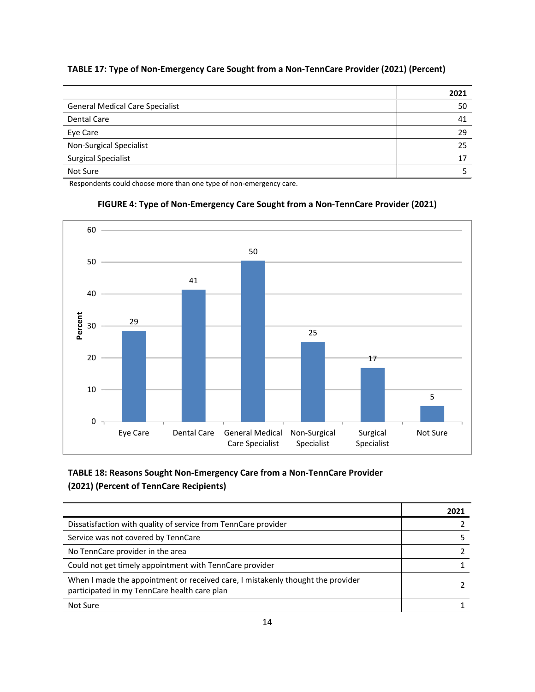#### **TABLE 17: Type of Non‐Emergency Care Sought from a Non‐TennCare Provider (2021) (Percent)**

|                                        | 2021 |
|----------------------------------------|------|
| <b>General Medical Care Specialist</b> | 50   |
| <b>Dental Care</b>                     | 41   |
| Eye Care                               | 29   |
| Non-Surgical Specialist                | 25   |
| <b>Surgical Specialist</b>             | 17   |
| Not Sure                               |      |

Respondents could choose more than one type of non-emergency care.



#### **FIGURE 4: Type of Non‐Emergency Care Sought from a Non‐TennCare Provider (2021)**

# **TABLE 18: Reasons Sought Non‐Emergency Care from a Non‐TennCare Provider (2021) (Percent of TennCare Recipients)**

|                                                                                                                                 | 2021 |
|---------------------------------------------------------------------------------------------------------------------------------|------|
| Dissatisfaction with quality of service from TennCare provider                                                                  |      |
| Service was not covered by TennCare                                                                                             |      |
| No TennCare provider in the area                                                                                                |      |
| Could not get timely appointment with TennCare provider                                                                         |      |
| When I made the appointment or received care, I mistakenly thought the provider<br>participated in my TennCare health care plan |      |
| Not Sure                                                                                                                        |      |